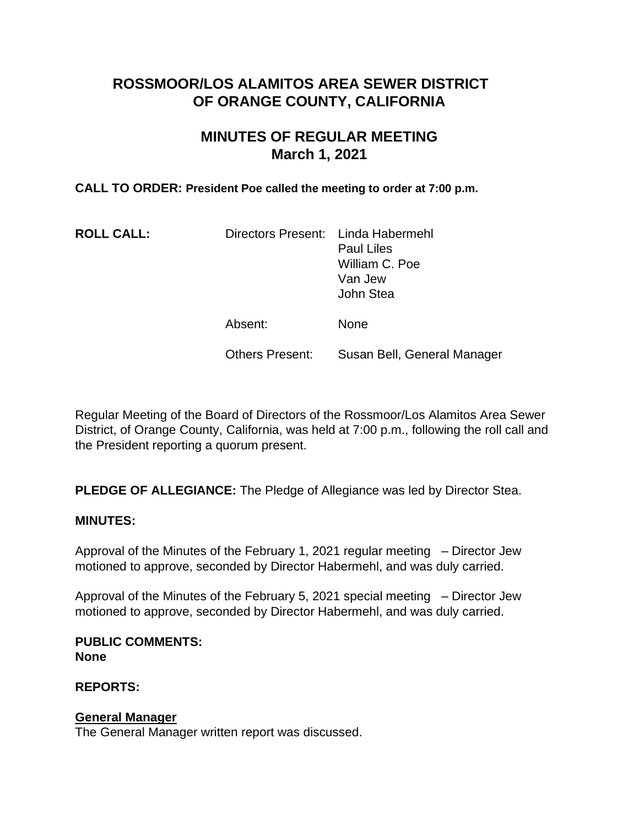# **ROSSMOOR/LOS ALAMITOS AREA SEWER DISTRICT OF ORANGE COUNTY, CALIFORNIA**

# **MINUTES OF REGULAR MEETING March 1, 2021**

### **CALL TO ORDER: President Poe called the meeting to order at 7:00 p.m.**

| <b>ROLL CALL:</b> | Directors Present: Linda Habermehl | <b>Paul Liles</b><br>William C. Poe<br>Van Jew<br>John Stea |
|-------------------|------------------------------------|-------------------------------------------------------------|
|                   | Absent:                            | <b>None</b>                                                 |
|                   | <b>Others Present:</b>             | Susan Bell, General Manager                                 |

Regular Meeting of the Board of Directors of the Rossmoor/Los Alamitos Area Sewer District, of Orange County, California, was held at 7:00 p.m., following the roll call and the President reporting a quorum present.

**PLEDGE OF ALLEGIANCE:** The Pledge of Allegiance was led by Director Stea.

#### **MINUTES:**

Approval of the Minutes of the February 1, 2021 regular meeting – Director Jew motioned to approve, seconded by Director Habermehl, and was duly carried.

Approval of the Minutes of the February 5, 2021 special meeting – Director Jew motioned to approve, seconded by Director Habermehl, and was duly carried.

**PUBLIC COMMENTS: None**

**REPORTS:** 

### **General Manager**

The General Manager written report was discussed.